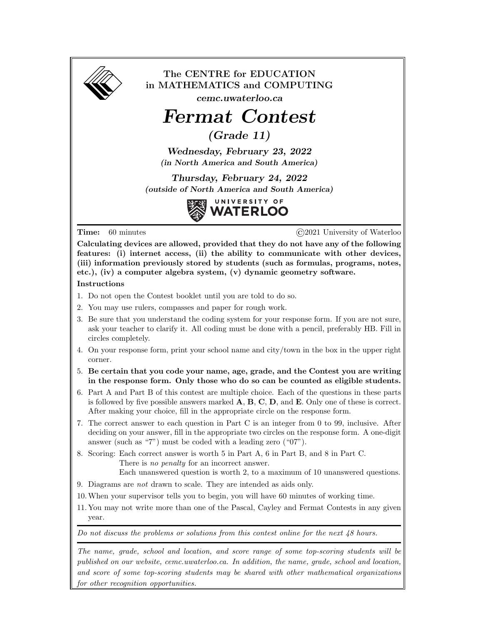

The CENTRE for EDUCATION in MATHEMATICS and COMPUTING

cemc.uwaterloo.ca

# Fermat Contest

(Grade 11)

Wednesday, February 23, 2022 (in North America and South America)

Thursday, February 24, 2022 (outside of North America and South America)



Time: 60 minutes  $\textcircled{c}$  2021 University of Waterloo

Calculating devices are allowed, provided that they do not have any of the following features: (i) internet access, (ii) the ability to communicate with other devices, (iii) information previously stored by students (such as formulas, programs, notes, etc.), (iv) a computer algebra system, (v) dynamic geometry software.

### Instructions

- 1. Do not open the Contest booklet until you are told to do so.
- 2. You may use rulers, compasses and paper for rough work.
- 3. Be sure that you understand the coding system for your response form. If you are not sure, ask your teacher to clarify it. All coding must be done with a pencil, preferably HB. Fill in circles completely.
- 4. On your response form, print your school name and city/town in the box in the upper right corner.
- 5. Be certain that you code your name, age, grade, and the Contest you are writing in the response form. Only those who do so can be counted as eligible students.
- 6. Part A and Part B of this contest are multiple choice. Each of the questions in these parts is followed by five possible answers marked  $\mathbf{A}, \mathbf{B}, \mathbf{C}, \mathbf{D}$ , and  $\mathbf{E}$ . Only one of these is correct. After making your choice, fill in the appropriate circle on the response form.
- 7. The correct answer to each question in Part C is an integer from 0 to 99, inclusive. After deciding on your answer, fill in the appropriate two circles on the response form. A one-digit answer (such as "7") must be coded with a leading zero ("07").
- 8. Scoring: Each correct answer is worth 5 in Part A, 6 in Part B, and 8 in Part C. There is no penalty for an incorrect answer.

Each unanswered question is worth 2, to a maximum of 10 unanswered questions.

- 9. Diagrams are not drawn to scale. They are intended as aids only.
- 10.When your supervisor tells you to begin, you will have 60 minutes of working time.
- 11. You may not write more than one of the Pascal, Cayley and Fermat Contests in any given year.

Do not discuss the problems or solutions from this contest online for the next 48 hours.

The name, grade, school and location, and score range of some top-scoring students will be published on our website, cemc.uwaterloo.ca. In addition, the name, grade, school and location, and score of some top-scoring students may be shared with other mathematical organizations for other recognition opportunities.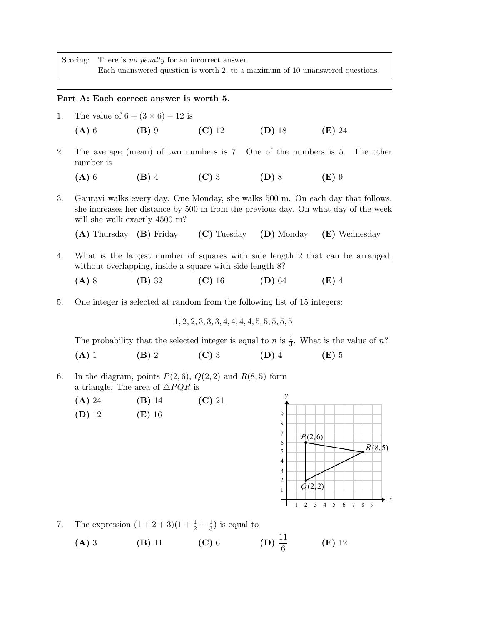Scoring: There is no penalty for an incorrect answer. Each unanswered question is worth 2, to a maximum of 10 unanswered questions.

#### Part A: Each correct answer is worth 5.

- 1. The value of  $6 + (3 \times 6) 12$  is
	- (A) 6 (B) 9 (C) 12 (D) 18 (E) 24
- 2. The average (mean) of two numbers is 7. One of the numbers is 5. The other number is
	- (A) 6 (B) 4 (C) 3 (D) 8 (E) 9
- 3. Gauravi walks every day. One Monday, she walks 500 m. On each day that follows, she increases her distance by 500 m from the previous day. On what day of the week will she walk exactly 4500 m?
	- (A) Thursday (B) Friday (C) Tuesday (D) Monday (E) Wednesday
- 4. What is the largest number of squares with side length 2 that can be arranged, without overlapping, inside a square with side length  $8$ ?
	- (A) 8 (B) 32 (C) 16 (D) 64 (E) 4
- 5. One integer is selected at random from the following list of 15 integers:

1, 2, 2, 3, 3, 3, 4, 4, 4, 4, 5, 5, 5, 5, 5

The probability that the selected integer is equal to n is  $\frac{1}{3}$ . What is the value of n?

(A) 1 (B) 2 (C) 3 (D) 4 (E) 5

- 6. In the diagram, points  $P(2,6)$ ,  $Q(2,2)$  and  $R(8,5)$  form a triangle. The area of  $\triangle PQR$  is
	- (A) 24 (B) 14 (C) 21
	- (D)  $12$  (E)  $16$



7. The expression  $(1+2+3)(1+\frac{1}{2}+\frac{1}{3})$  $(\frac{1}{3})$  is equal to

(A) 3 (B) 11 (C) 6 (D)  $\frac{11}{6}$ (E) 12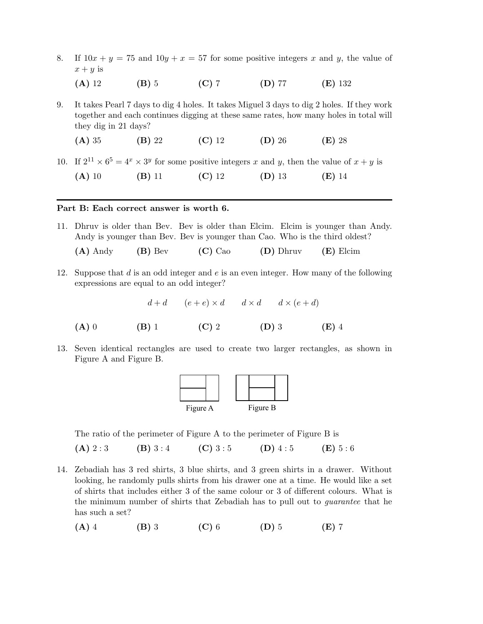- 8. If  $10x + y = 75$  and  $10y + x = 57$  for some positive integers x and y, the value of  $x + y$  is
	- (A) 12 (B) 5 (C) 7 (D) 77 (E) 132
- 9. It takes Pearl 7 days to dig 4 holes. It takes Miguel 3 days to dig 2 holes. If they work together and each continues digging at these same rates, how many holes in total will they dig in 21 days?

(A) 35 (B) 22 (C) 12 (D) 26 (E) 28

10. If  $2^{11} \times 6^5 = 4^x \times 3^y$  for some positive integers x and y, then the value of  $x + y$  is (A) 10 (B) 11 (C) 12 (D) 13 (E) 14

#### Part B: Each correct answer is worth 6.

11. Dhruv is older than Bev. Bev is older than Elcim. Elcim is younger than Andy. Andy is younger than Bev. Bev is younger than Cao. Who is the third oldest?

(A) Andy (B) Bev (C) Cao (D) Dhruv (E) Elcim

12. Suppose that  $d$  is an odd integer and  $e$  is an even integer. How many of the following expressions are equal to an odd integer?

$$
d + d \qquad (e + e) \times d \qquad d \times d \qquad d \times (e + d)
$$

- (A) 0 (B) 1 (C) 2 (D) 3 (E) 4
- 13. Seven identical rectangles are used to create two larger rectangles, as shown in Figure A and Figure B.



The ratio of the perimeter of Figure A to the perimeter of Figure B is

(A) 2 : 3 (B) 3 : 4 (C) 3 : 5 (D) 4 : 5 (E) 5 : 6

- 14. Zebadiah has 3 red shirts, 3 blue shirts, and 3 green shirts in a drawer. Without looking, he randomly pulls shirts from his drawer one at a time. He would like a set of shirts that includes either 3 of the same colour or 3 of different colours. What is the minimum number of shirts that Zebadiah has to pull out to guarantee that he has such a set?
	- (A) 4 (B) 3 (C) 6 (D) 5 (E) 7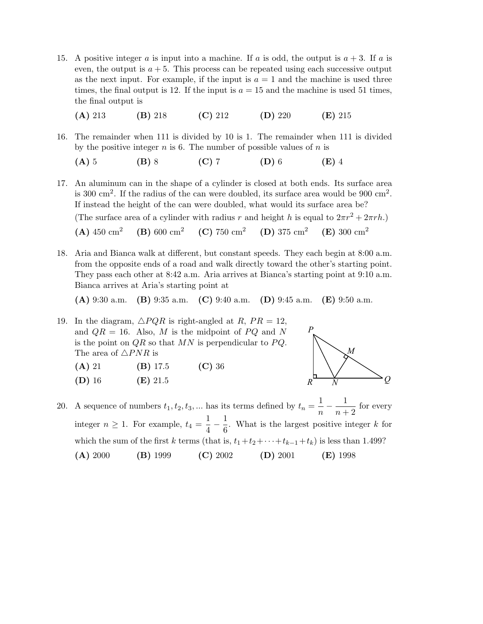- 15. A positive integer a is input into a machine. If a is odd, the output is  $a + 3$ . If a is even, the output is  $a + 5$ . This process can be repeated using each successive output as the next input. For example, if the input is  $a = 1$  and the machine is used three times, the final output is 12. If the input is  $a = 15$  and the machine is used 51 times, the final output is
	- (A) 213 (B) 218 (C) 212 (D) 220 (E) 215
- 16. The remainder when 111 is divided by 10 is 1. The remainder when 111 is divided by the positive integer  $n$  is 6. The number of possible values of  $n$  is
	- (A) 5 (B) 8 (C) 7 (D) 6 (E) 4
- 17. An aluminum can in the shape of a cylinder is closed at both ends. Its surface area is 300 cm<sup>2</sup>. If the radius of the can were doubled, its surface area would be 900 cm<sup>2</sup>. If instead the height of the can were doubled, what would its surface area be? (The surface area of a cylinder with radius r and height h is equal to  $2\pi r^2 + 2\pi rh$ .)  $(A)$  450 cm<sup>2</sup> (B) 600 cm<sup>2</sup> (C) 750 cm<sup>2</sup> (D) 375 cm<sup>2</sup> (E)  $300 \text{ cm}^2$
- 18. Aria and Bianca walk at different, but constant speeds. They each begin at 8:00 a.m. from the opposite ends of a road and walk directly toward the other's starting point. They pass each other at 8:42 a.m. Aria arrives at Bianca's starting point at 9:10 a.m. Bianca arrives at Aria's starting point at

(A) 9:30 a.m. (B) 9:35 a.m. (C) 9:40 a.m. (D) 9:45 a.m. (E) 9:50 a.m.

19. In the diagram,  $\triangle PQR$  is right-angled at R,  $PR = 12$ , and  $QR = 16$ . Also, M is the midpoint of PQ and N is the point on  $QR$  so that  $MN$  is perpendicular to  $PQ$ . The area of  $\triangle PNR$  is

| (A) 21   | $(B)$ 17.5 | $(C)$ 36 |
|----------|------------|----------|
| $(D)$ 16 | $(E)$ 21.5 |          |



20. A sequence of numbers  $t_1, t_2, t_3, ...$  has its terms defined by  $t_n = \frac{1}{n}$  $\frac{1}{n} - \frac{1}{n+1}$  $\frac{1}{n+2}$  for every integer  $n \geq 1$ . For example,  $t_4 = \frac{1}{4}$  $\frac{1}{4} - \frac{1}{6}$  $\frac{1}{6}$ . What is the largest positive integer k for which the sum of the first k terms (that is,  $t_1+t_2+\cdots+t_{k-1}+t_k$ ) is less than 1.499? (A) 2000 (B) 1999 (C) 2002 (D) 2001 (E) 1998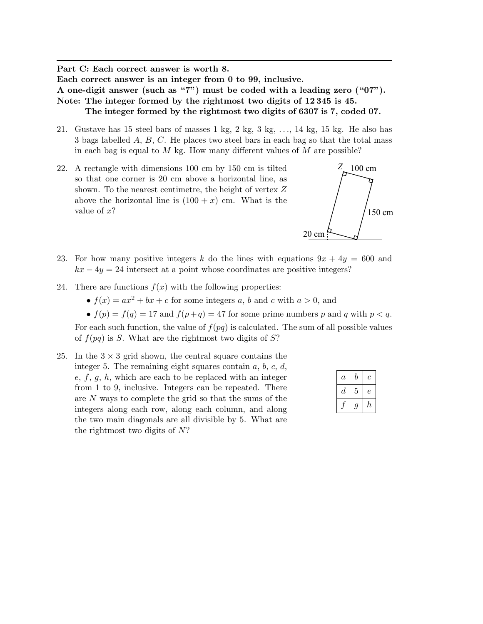Part C: Each correct answer is worth 8.

Each correct answer is an integer from 0 to 99, inclusive.

A one-digit answer (such as "7") must be coded with a leading zero ("07"). Note: The integer formed by the rightmost two digits of 12 345 is 45. The integer formed by the rightmost two digits of 6307 is 7, coded 07.

- 21. Gustave has 15 steel bars of masses 1 kg, 2 kg, 3 kg, . . ., 14 kg, 15 kg. He also has 3 bags labelled A, B, C. He places two steel bars in each bag so that the total mass in each bag is equal to  $M$  kg. How many different values of  $M$  are possible?
- 22. A rectangle with dimensions 100 cm by 150 cm is tilted so that one corner is 20 cm above a horizontal line, as shown. To the nearest centimetre, the height of vertex Z above the horizontal line is  $(100 + x)$  cm. What is the value of  $x$ ?



- 23. For how many positive integers k do the lines with equations  $9x + 4y = 600$  and  $kx - 4y = 24$  intersect at a point whose coordinates are positive integers?
- 24. There are functions  $f(x)$  with the following properties:
	- $f(x) = ax^2 + bx + c$  for some integers a, b and c with  $a > 0$ , and

•  $f(p) = f(q) = 17$  and  $f(p+q) = 47$  for some prime numbers p and q with  $p < q$ .

For each such function, the value of  $f(pq)$  is calculated. The sum of all possible values of  $f(pq)$  is S. What are the rightmost two digits of S?

25. In the  $3 \times 3$  grid shown, the central square contains the integer 5. The remaining eight squares contain  $a, b, c, d$ ,  $e, f, g, h$ , which are each to be replaced with an integer from 1 to 9, inclusive. Integers can be repeated. There are N ways to complete the grid so that the sums of the integers along each row, along each column, and along the two main diagonals are all divisible by 5. What are the rightmost two digits of N?

| $\overline{a}$ | b | с |
|----------------|---|---|
| d              | 5 | e |
|                | Ŷ | h |